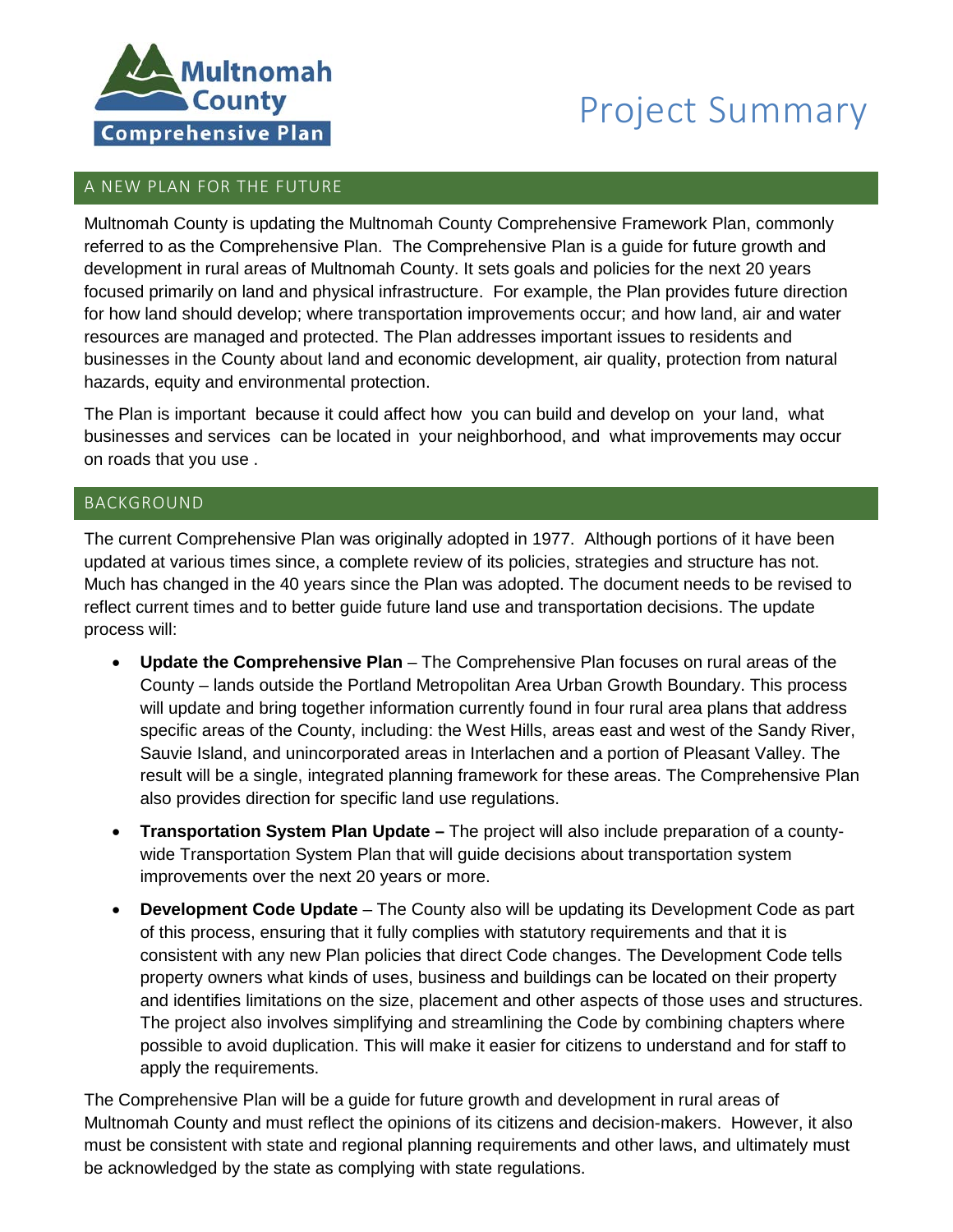

# Project Summary

### A NEW PLAN FOR THE FUTURE

Multnomah County is updating the Multnomah County Comprehensive Framework Plan, commonly referred to as the Comprehensive Plan. The Comprehensive Plan is a guide for future growth and development in rural areas of Multnomah County. It sets goals and policies for the next 20 years focused primarily on land and physical infrastructure. For example, the Plan provides future direction for how land should develop; where transportation improvements occur; and how land, air and water resources are managed and protected. The Plan addresses important issues to residents and businesses in the County about land and economic development, air quality, protection from natural hazards, equity and environmental protection.

The Plan is important because it could affect how you can build and develop on your land, what businesses and services can be located in your neighborhood, and what improvements may occur on roads that you use .

#### BACKGROUND

The current Comprehensive Plan was originally adopted in 1977. Although portions of it have been updated at various times since, a complete review of its policies, strategies and structure has not. Much has changed in the 40 years since the Plan was adopted. The document needs to be revised to reflect current times and to better guide future land use and transportation decisions. The update process will:

- **Update the Comprehensive Plan** The Comprehensive Plan focuses on rural areas of the County – lands outside the Portland Metropolitan Area Urban Growth Boundary. This process will update and bring together information currently found in four rural area plans that address specific areas of the County, including: the West Hills, areas east and west of the Sandy River, Sauvie Island, and unincorporated areas in Interlachen and a portion of Pleasant Valley. The result will be a single, integrated planning framework for these areas. The Comprehensive Plan also provides direction for specific land use regulations.
- **Transportation System Plan Update –** The project will also include preparation of a countywide Transportation System Plan that will guide decisions about transportation system improvements over the next 20 years or more.
- **Development Code Update** The County also will be updating its Development Code as part of this process, ensuring that it fully complies with statutory requirements and that it is consistent with any new Plan policies that direct Code changes. The Development Code tells property owners what kinds of uses, business and buildings can be located on their property and identifies limitations on the size, placement and other aspects of those uses and structures. The project also involves simplifying and streamlining the Code by combining chapters where possible to avoid duplication. This will make it easier for citizens to understand and for staff to apply the requirements.

The Comprehensive Plan will be a guide for future growth and development in rural areas of Multnomah County and must reflect the opinions of its citizens and decision-makers. However, it also must be consistent with state and regional planning requirements and other laws, and ultimately must be acknowledged by the state as complying with state regulations.